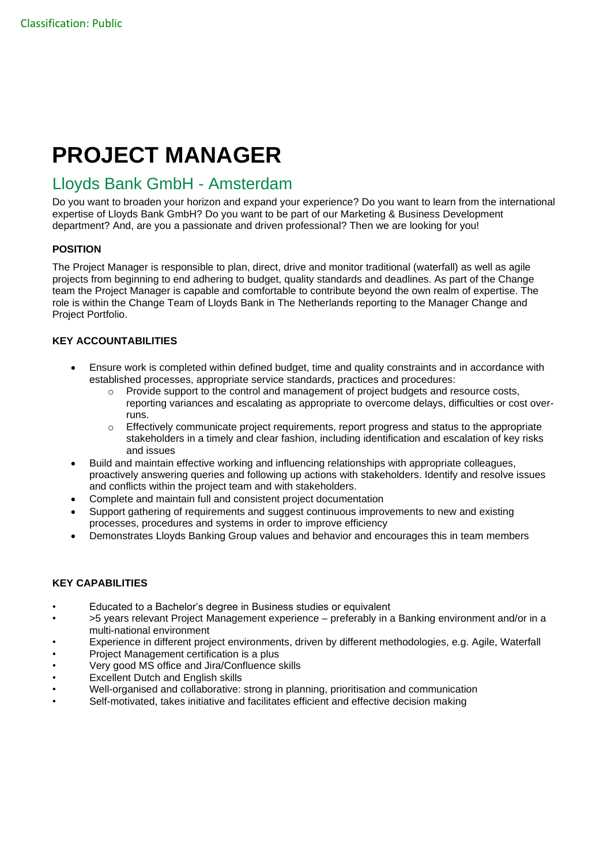# **PROJECT MANAGER**

## Lloyds Bank GmbH - Amsterdam

Do you want to broaden your horizon and expand your experience? Do you want to learn from the international expertise of Lloyds Bank GmbH? Do you want to be part of our Marketing & Business Development department? And, are you a passionate and driven professional? Then we are looking for you!

#### **POSITION**

The Project Manager is responsible to plan, direct, drive and monitor traditional (waterfall) as well as agile projects from beginning to end adhering to budget, quality standards and deadlines. As part of the Change team the Project Manager is capable and comfortable to contribute beyond the own realm of expertise. The role is within the Change Team of Lloyds Bank in The Netherlands reporting to the Manager Change and Project Portfolio.

#### **KEY ACCOUNTABILITIES**

- Ensure work is completed within defined budget, time and quality constraints and in accordance with established processes, appropriate service standards, practices and procedures:
	- $\circ$  Provide support to the control and management of project budgets and resource costs, reporting variances and escalating as appropriate to overcome delays, difficulties or cost overruns.
	- $\circ$  Effectively communicate project requirements, report progress and status to the appropriate stakeholders in a timely and clear fashion, including identification and escalation of key risks and issues
- Build and maintain effective working and influencing relationships with appropriate colleagues, proactively answering queries and following up actions with stakeholders. Identify and resolve issues and conflicts within the project team and with stakeholders.
- Complete and maintain full and consistent project documentation
- Support gathering of requirements and suggest continuous improvements to new and existing processes, procedures and systems in order to improve efficiency
- Demonstrates Lloyds Banking Group values and behavior and encourages this in team members

### **KEY CAPABILITIES**

- Educated to a Bachelor's degree in Business studies or equivalent
- >5 years relevant Project Management experience preferably in a Banking environment and/or in a multi-national environment
- Experience in different project environments, driven by different methodologies, e.g. Agile, Waterfall
- Project Management certification is a plus
- Very good MS office and Jira/Confluence skills
- **Excellent Dutch and English skills**
- Well-organised and collaborative: strong in planning, prioritisation and communication
- Self-motivated, takes initiative and facilitates efficient and effective decision making